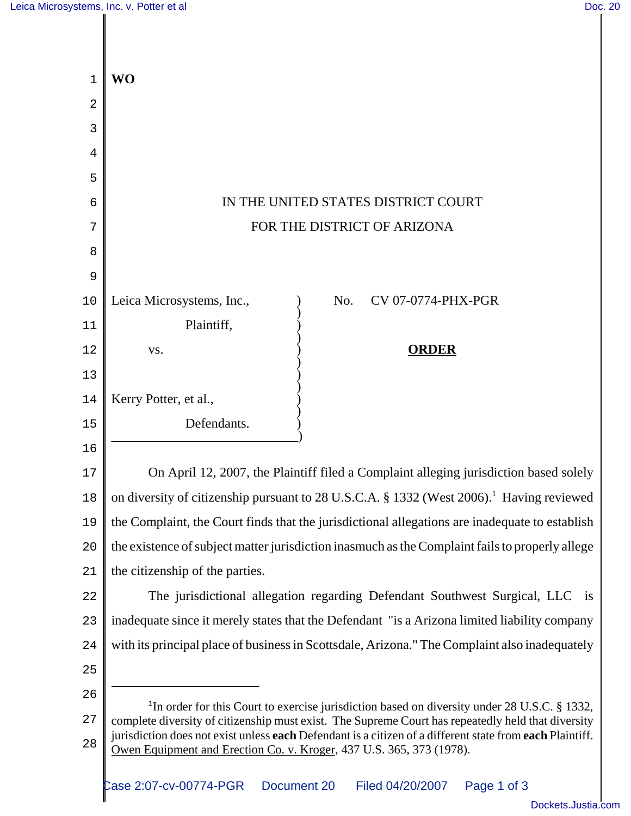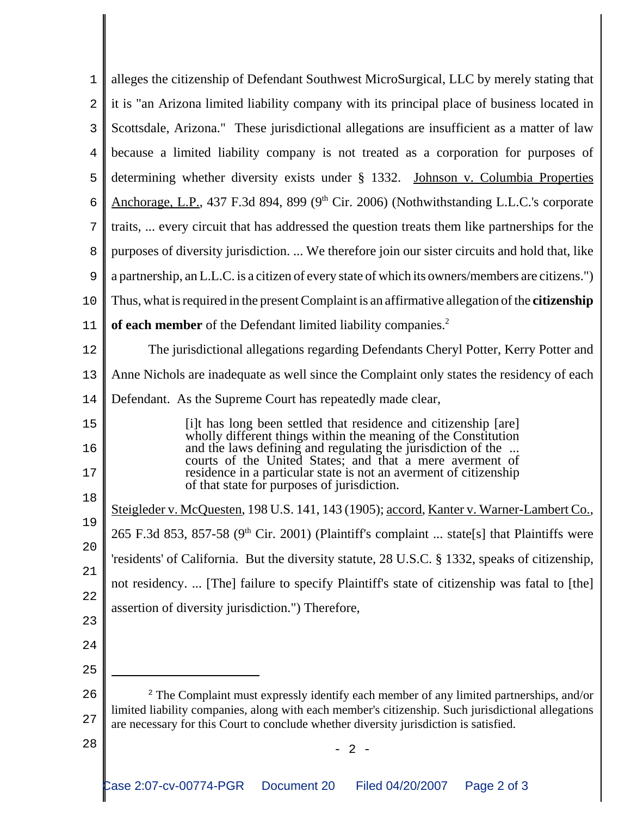| 1  | alleges the citizenship of Defendant Southwest MicroSurgical, LLC by merely stating that                                                                                                           |
|----|----------------------------------------------------------------------------------------------------------------------------------------------------------------------------------------------------|
| 2  | it is "an Arizona limited liability company with its principal place of business located in                                                                                                        |
| 3  | Scottsdale, Arizona." These jurisdictional allegations are insufficient as a matter of law                                                                                                         |
| 4  | because a limited liability company is not treated as a corporation for purposes of                                                                                                                |
| 5  | determining whether diversity exists under § 1332. Johnson v. Columbia Properties                                                                                                                  |
| 6  | Anchorage, L.P., 437 F.3d 894, 899 (9 <sup>th</sup> Cir. 2006) (Nothwithstanding L.L.C.'s corporate                                                                                                |
| 7  | traits,  every circuit that has addressed the question treats them like partnerships for the                                                                                                       |
| 8  | purposes of diversity jurisdiction.  We therefore join our sister circuits and hold that, like                                                                                                     |
| 9  | a partnership, an L.L.C. is a citizen of every state of which its owners/members are citizens.")                                                                                                   |
| 10 | Thus, what is required in the present Complaint is an affirmative allegation of the citizenship                                                                                                    |
| 11 | of each member of the Defendant limited liability companies. <sup>2</sup>                                                                                                                          |
| 12 | The jurisdictional allegations regarding Defendants Cheryl Potter, Kerry Potter and                                                                                                                |
| 13 | Anne Nichols are inadequate as well since the Complaint only states the residency of each                                                                                                          |
| 14 | Defendant. As the Supreme Court has repeatedly made clear,                                                                                                                                         |
| 15 | [i]t has long been settled that residence and citizenship [are]                                                                                                                                    |
| 16 | wholly different things within the meaning of the Constitution<br>and the laws defining and regulating the jurisdiction of the                                                                     |
| 17 | courts of the United States; and that a mere averment of<br>residence in a particular state is not an averment of citizenship<br>of that state for purposes of jurisdiction.                       |
| 18 |                                                                                                                                                                                                    |
| 19 | Steigleder v. McQuesten, 198 U.S. 141, 143 (1905); accord, Kanter v. Warner-Lambert Co.,<br>265 F.3d 853, 857-58 (9 <sup>th</sup> Cir. 2001) (Plaintiff's complaint  state[s] that Plaintiffs were |
| 20 |                                                                                                                                                                                                    |
| 21 | 'residents' of California. But the diversity statute, 28 U.S.C. § 1332, speaks of citizenship,                                                                                                     |
| 22 | not residency.  [The] failure to specify Plaintiff's state of citizenship was fatal to [the]                                                                                                       |
| 23 | assertion of diversity jurisdiction.") Therefore,                                                                                                                                                  |
| 24 |                                                                                                                                                                                                    |
| 25 |                                                                                                                                                                                                    |
| 26 | <sup>2</sup> The Complaint must expressly identify each member of any limited partnerships, and/or                                                                                                 |
| 27 | limited liability companies, along with each member's citizenship. Such jurisdictional allegations<br>are necessary for this Court to conclude whether diversity jurisdiction is satisfied.        |
| 28 | $2 -$                                                                                                                                                                                              |
|    |                                                                                                                                                                                                    |
|    | Case 2:07-cv-00774-PGR<br>Document 20<br>Page 2 of 3<br>Filed 04/20/2007                                                                                                                           |